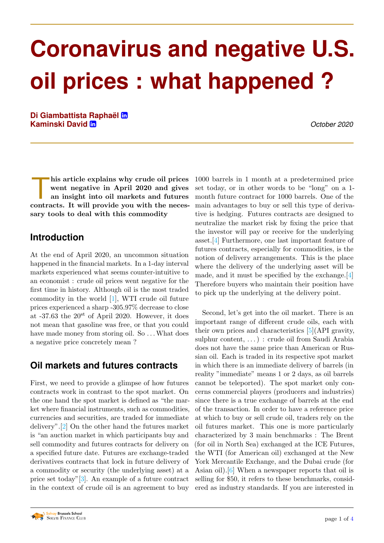# **Coronavirus and negative U.S. oil prices : what happened ?**

**Di Giambattista Raphael ¨** [°](https://www.linkedin.com/in/rapha\unhbox \voidb@x \bgroup \accent 127e\protect \penalty \@M \hskip \z@skip \egroup l-di-giambattista-0533141a3/) **Kaminski David** [°](https://www.linkedin.com/in/david--kaminski/) *October 2020*

his article explains why crude oil prices<br>went negative in April 2020 and gives<br>an insight into oil markets and futures<br>contracts. It will provide you with the neceshis article explains why crude oil prices went negative in April 2020 and gives an insight into oil markets and futures sary tools to deal with this commodity

## **Introduction**

At the end of April 2020, an uncommon situation happened in the financial markets. In a 1-day interval markets experienced what seems counter-intuitive to an economist : crude oil prices went negative for the first time in history. Although oil is the most traded commodity in the world [\[1\]](#page-2-0), WTI crude oil future prices experienced a sharp -305.97% decrease to close at  $-37.63$  the  $20^{st}$  of April 2020. However, it does not mean that gasoline was free, or that you could have made money from storing oil. So ... What does a negative price concretely mean ?

## **Oil markets and futures contracts**

First, we need to provide a glimpse of how futures contracts work in contrast to the spot market. On the one hand the spot market is defined as "the market where financial instruments, such as commodities, currencies and securities, are traded for immediate delivery".[\[2\]](#page-2-1) On the other hand the futures market is "an auction market in which participants buy and sell commodity and futures contracts for delivery on a specified future date. Futures are exchange-traded derivatives contracts that lock in future delivery of a commodity or security (the underlying asset) at a price set today"[\[3\]](#page-3-0). An example of a future contract in the context of crude oil is an agreement to buy 1000 barrels in 1 month at a predetermined price set today, or in other words to be "long" on a 1 month future contract for 1000 barrels. One of the main advantages to buy or sell this type of derivative is hedging. Futures contracts are designed to neutralize the market risk by fixing the price that the investor will pay or receive for the underlying asset.[\[4\]](#page-3-1) Furthermore, one last important feature of futures contracts, especially for commodities, is the notion of delivery arrangements. This is the place where the delivery of the underlying asset will be made, and it must be specified by the exchange.[\[4\]](#page-3-1) Therefore buyers who maintain their position have to pick up the underlying at the delivery point.

Second, let's get into the oil market. There is an important range of different crude oils, each with their own prices and characteristics [\[5\]](#page-3-2)(API gravity, sulphur content, . . . ) : crude oil from Saudi Arabia does not have the same price than American or Russian oil. Each is traded in its respective spot market in which there is an immediate delivery of barrels (in reality "immediate" means 1 or 2 days, as oil barrels cannot be teleported). The spot market only concerns commercial players (producers and industries) since there is a true exchange of barrels at the end of the transaction. In order to have a reference price at which to buy or sell crude oil, traders rely on the oil futures market. This one is more particularly characterized by 3 main benchmarks : The Brent (for oil in North Sea) exchanged at the ICE Futures, the WTI (for American oil) exchanged at the New York Mercantile Exchange, and the Dubai crude (for Asian oil).[\[6\]](#page-3-3) When a newspaper reports that oil is selling for \$50, it refers to these benchmarks, considered as industry standards. If you are interested in

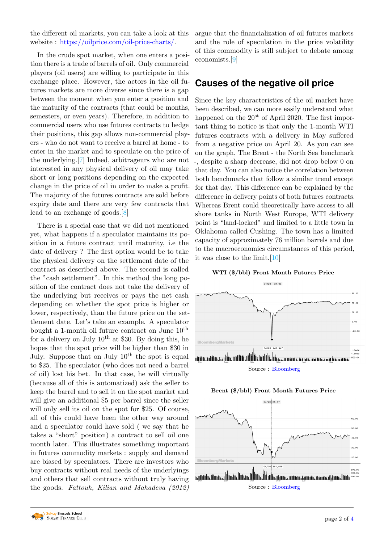the different oil markets, you can take a look at this website : [https://oilprice.com/oil-price-charts/.](https://oilprice.com/oil-price-charts/)

In the crude spot market, when one enters a position there is a trade of barrels of oil. Only commercial players (oil users) are willing to participate in this exchange place. However, the actors in the oil futures markets are more diverse since there is a gap between the moment when you enter a position and the maturity of the contracts (that could be months, semesters, or even years). Therefore, in addition to commercial users who use futures contracts to hedge their positions, this gap allows non-commercial players - who do not want to receive a barrel at home - to enter in the market and to speculate on the price of the underlying.[\[7\]](#page-3-5) Indeed, arbitrageurs who are not interested in any physical delivery of oil may take short or long positions depending on the expected change in the price of oil in order to make a profit. The majority of the futures contracts are sold before expiry date and there are very few contracts that lead to an exchange of goods.[\[8\]](#page-3-6)

There is a special case that we did not mentioned yet, what happens if a speculator maintains its position in a future contract until maturity, i.e the date of delivery ? The first option would be to take the physical delivery on the settlement date of the contract as described above. The second is called the "cash settlement". In this method the long position of the contract does not take the delivery of the underlying but receives or pays the net cash depending on whether the spot price is higher or lower, respectively, than the future price on the settlement date. Let's take an example. A speculator bought a 1-month oil future contract on June  $10^{th}$ for a delivery on July  $10^{th}$  at \$30. By doing this, he hopes that the spot price will be higher than \$30 in July. Suppose that on July  $10^{th}$  the spot is equal to \$25. The speculator (who does not need a barrel of oil) lost his bet. In that case, he will virtually (because all of this is automatized) ask the seller to keep the barrel and to sell it on the spot market and will give an additional \$5 per barrel since the seller will only sell its oil on the spot for \$25. Of course, all of this could have been the other way around and a speculator could have sold ( we say that he takes a "short" position) a contract to sell oil one month later. This illustrates something important in futures commodity markets : supply and demand are biased by speculators. There are investors who buy contracts without real needs of the underlyings and others that sell contracts without truly having the goods. Fattouh, Kilian and Mahadeva (2012)

argue that the financialization of oil futures markets and the role of speculation in the price volatility of this commodity is still subject to debate among economists.[\[9\]](#page-3-7)

#### **Causes of the negative oil price**

Since the key characteristics of the oil market have been described, we can more easily understand what happened on the  $20^{st}$  of April 2020. The first important thing to notice is that only the 1-month WTI futures contracts with a delivery in May suffered from a negative price on April 20. As you can see on the graph, The Brent - the North Sea benchmark -, despite a sharp decrease, did not drop below 0 on that day. You can also notice the correlation between both benchmarks that follow a similar trend except for that day. This difference can be explained by the difference in delivery points of both futures contracts. Whereas Brent could theoretically have access to all shore tanks in North West Europe, WTI delivery point is "land-locked" and limited to a little town in Oklahoma called Cushing. The town has a limited capacity of approximately 76 million barrels and due to the macroeconomics circumstances of this period, it was close to the limit.[\[10\]](#page-3-8)







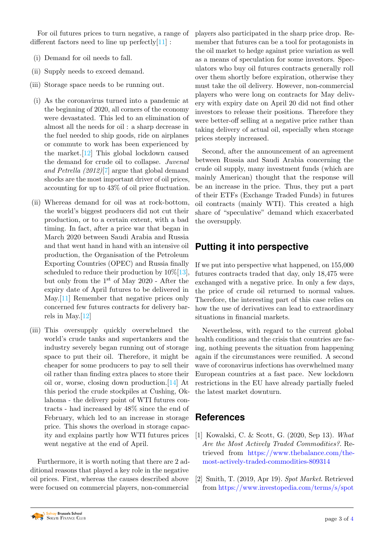For oil futures prices to turn negative, a range of different factors need to line up perfectly $[11]$ :

- (i) Demand for oil needs to fall.
- (ii) Supply needs to exceed demand.
- (iii) Storage space needs to be running out.
- (i) As the coronavirus turned into a pandemic at the beginning of 2020, all corners of the economy were devastated. This led to an elimination of almost all the needs for oil : a sharp decrease in the fuel needed to ship goods, ride on airplanes or commute to work has been experienced by the market.[\[12\]](#page-3-10) This global lockdown caused the demand for crude oil to collapse. Juvenal and Petrella (2012)[\[7\]](#page-3-5) argue that global demand shocks are the most important driver of oil prices, accounting for up to 43% of oil price fluctuation.
- (ii) Whereas demand for oil was at rock-bottom, the world's biggest producers did not cut their production, or to a certain extent, with a bad timing. In fact, after a price war that began in March 2020 between Saudi Arabia and Russia and that went hand in hand with an intensive oil production, the Organisation of the Petroleum Exporting Countries (OPEC) and Russia finally scheduled to reduce their production by  $10\%$ [\[13\]](#page-3-11), but only from the 1st of May 2020 - After the expiry date of April futures to be delivered in May.[\[11\]](#page-3-9) Remember that negative prices only concerned few futures contracts for delivery barrels in May.[\[12\]](#page-3-10)
- (iii) This oversupply quickly overwhelmed the world's crude tanks and supertankers and the industry severely began running out of storage space to put their oil. Therefore, it might be cheaper for some producers to pay to sell their oil rather than finding extra places to store their oil or, worse, closing down production.[\[14\]](#page-3-12) At this period the crude stockpiles at Cushing, Oklahoma - the delivery point of WTI futures contracts - had increased by 48% since the end of February, which led to an increase in storage price. This shows the overload in storage capacity and explains partly how WTI futures prices went negative at the end of April.

Furthermore, it is worth noting that there are 2 additional reasons that played a key role in the negative oil prices. First, whereas the causes described above were focused on commercial players, non-commercial

players also participated in the sharp price drop. Remember that futures can be a tool for protagonists in the oil market to hedge against price variation as well as a means of speculation for some investors. Speculators who buy oil futures contracts generally roll over them shortly before expiration, otherwise they must take the oil delivery. However, non-commercial players who were long on contracts for May delivery with expiry date on April 20 did not find other investors to release their positions. Therefore they were better-off selling at a negative price rather than taking delivery of actual oil, especially when storage prices steeply increased.

Second, after the announcement of an agreement between Russia and Saudi Arabia concerning the crude oil supply, many investment funds (which are mainly American) thought that the response will be an increase in the price. Thus, they put a part of their ETFs (Exchange Traded Funds) in futures oil contracts (mainly WTI). This created a high share of "speculative" demand which exacerbated the oversupply.

## **Putting it into perspective**

If we put into perspective what happened, on 155,000 futures contracts traded that day, only 18,475 were exchanged with a negative price. In only a few days, the price of crude oil returned to normal values. Therefore, the interesting part of this case relies on how the use of derivatives can lead to extraordinary situations in financial markets.

Nevertheless, with regard to the current global health conditions and the crisis that countries are facing, nothing prevents the situation from happening again if the circumstances were reunified. A second wave of coronavirus infections has overwhelmed many European countries at a fast pace. New lockdown restrictions in the EU have already partially fueled the latest market downturn.

### **References**

- <span id="page-2-0"></span>[1] Kowalski, C. & Scott, G. (2020, Sep 13). What Are the Most Actively Traded Commodities?. Retrieved from [https://www.thebalance.com/the](https://www.thebalance.com/the-most-actively-traded-commodities-809314)[most-actively-traded-commodities-809314](https://www.thebalance.com/the-most-actively-traded-commodities-809314)
- <span id="page-2-1"></span>[2] Smith, T. (2019, Apr 19). Spot Market. Retrieved from [https://www.investopedia.com/terms/s/spot](https://www.investopedia.com/terms/s/spotmarket.asp)